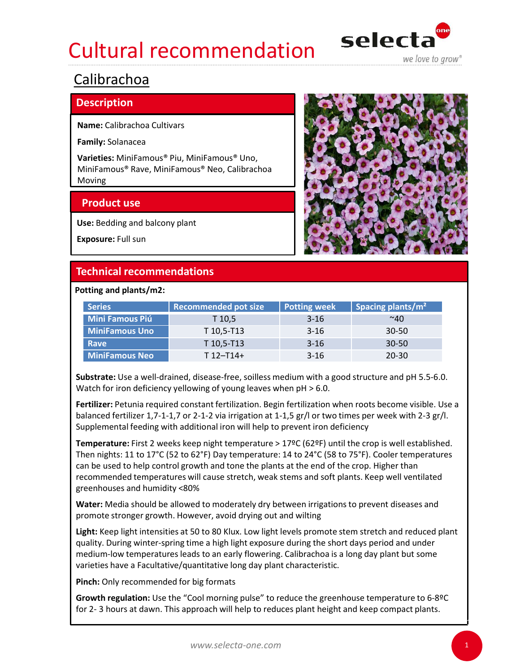# Cultural recommendation selecta Ultural recommendation<br>
Select<br>
alibrachoa<br>
amily: Solanace<br>
arities: MiniFamous<sup>®</sup> Piu, MiniFamous<sup>® Uno</sup>,<br>
AlimiFamous<sup>®</sup> Rave, MiniFamous<sup>®</sup> Neo, Calibrachoa<br>
Aloxing<br>
Product use<br>
Se: Bedding and balcony plant<br>
Maposur



# Calibrachoa

# **Description**

|                                                        |                                                                                                                                                                                                                                                                                                                                                                                                      |                     | we love to grow               |  |
|--------------------------------------------------------|------------------------------------------------------------------------------------------------------------------------------------------------------------------------------------------------------------------------------------------------------------------------------------------------------------------------------------------------------------------------------------------------------|---------------------|-------------------------------|--|
| Calibrachoa                                            |                                                                                                                                                                                                                                                                                                                                                                                                      |                     |                               |  |
| <b>Description</b>                                     |                                                                                                                                                                                                                                                                                                                                                                                                      |                     |                               |  |
| Name: Calibrachoa Cultivars                            |                                                                                                                                                                                                                                                                                                                                                                                                      |                     |                               |  |
| Family: Solanacea                                      |                                                                                                                                                                                                                                                                                                                                                                                                      |                     |                               |  |
| Varieties: MiniFamous® Piu, MiniFamous® Uno,<br>Moving | MiniFamous® Rave, MiniFamous® Neo, Calibrachoa                                                                                                                                                                                                                                                                                                                                                       |                     |                               |  |
| <b>Product use</b>                                     |                                                                                                                                                                                                                                                                                                                                                                                                      |                     |                               |  |
| Use: Bedding and balcony plant                         |                                                                                                                                                                                                                                                                                                                                                                                                      |                     |                               |  |
| Exposure: Full sun                                     |                                                                                                                                                                                                                                                                                                                                                                                                      |                     |                               |  |
|                                                        |                                                                                                                                                                                                                                                                                                                                                                                                      |                     |                               |  |
| <b>Technical recommendations</b>                       |                                                                                                                                                                                                                                                                                                                                                                                                      |                     |                               |  |
| Potting and plants/m2:                                 |                                                                                                                                                                                                                                                                                                                                                                                                      |                     |                               |  |
| <b>Series</b>                                          | <b>Recommended pot size</b>                                                                                                                                                                                                                                                                                                                                                                          | <b>Potting week</b> | Spacing plants/m <sup>2</sup> |  |
| <b>Mini Famous Piú</b>                                 | $T$ 10,5                                                                                                                                                                                                                                                                                                                                                                                             | $3 - 16$            | ~140                          |  |
| <b>MiniFamous Uno</b>                                  | T 10,5-T13                                                                                                                                                                                                                                                                                                                                                                                           | $3 - 16$            | $30 - 50$                     |  |
| Rave                                                   | T 10,5-T13                                                                                                                                                                                                                                                                                                                                                                                           | $3 - 16$            | 30-50                         |  |
| <b>MiniFamous Neo</b>                                  | $T 12 - T14 +$                                                                                                                                                                                                                                                                                                                                                                                       | $3 - 16$            | $20 - 30$                     |  |
|                                                        | Substrate: Use a well-drained, disease-free, soilless medium with a good structure and pH 5.5-6.0.<br>Watch for iron deficiency yellowing of young leaves when $pH > 6.0$ .<br>Fertilizer: Petunia required constant fertilization. Begin fertilization when roots become visible. Use a<br>balanced fertilizer 1,7-1-1,7 or 2-1-2 via irrigation at 1-1,5 gr/l or two times per week with 2-3 gr/l. |                     |                               |  |

Fertilizer: Petunia required constant fertilization. Begin fertilization when roots become visible. Use a balanced fertilizer 1,7-1-1,7 or 2-1-2 via irrigation at 1-1,5 gr/l or two times per week with 2-3 gr/l. Supplemental feeding with additional iron will help to prevent iron deficiency

Temperature: First 2 weeks keep night temperature > 17ºC (62ºF) until the crop is well established. Then nights: 11 to 17°C (52 to 62°F) Day temperature: 14 to 24°C (58 to 75°F). Cooler temperatures can be used to help control growth and tone the plants at the end of the crop. Higher than recommended temperatures will cause stretch, weak stems and soft plants. Keep well ventilated greenhouses and humidity <80% MiniFamous Neo $T12-T14+$ <br>
3-16 20-30<br>
Substrate: Use a well-drained, disease-free, soliless medium with a good structure and pH 5.5-6.0.<br>
Watch for iron deficincy yellowing of young levas when pH > 6.0.<br> **Fertilizer:** Pet Fertilizer: Petunia required constant fertilization. Begin fertilization when roots become visible. Ushanced fertilizer 1,7-1-1,7 or 2-1-2 via irrigation at 1-1,5 gr/l or two times per week with 2-3 gr, and the Supplementa

Water: Media should be allowed to moderately dry between irrigations to prevent diseases and promote stronger growth. However, avoid drying out and wilting

Light: Keep light intensities at 50 to 80 Klux. Low light levels promote stem stretch and reduced plant quality. During winter-spring time a high light exposure during the short days period and under medium-low temperatures leads to an early flowering. Calibrachoa is a long day plant but some

Pinch: Only recommended for big formats

Growth regulation: Use the "Cool morning pulse" to reduce the greenhouse temperature to 6-8ºC

1